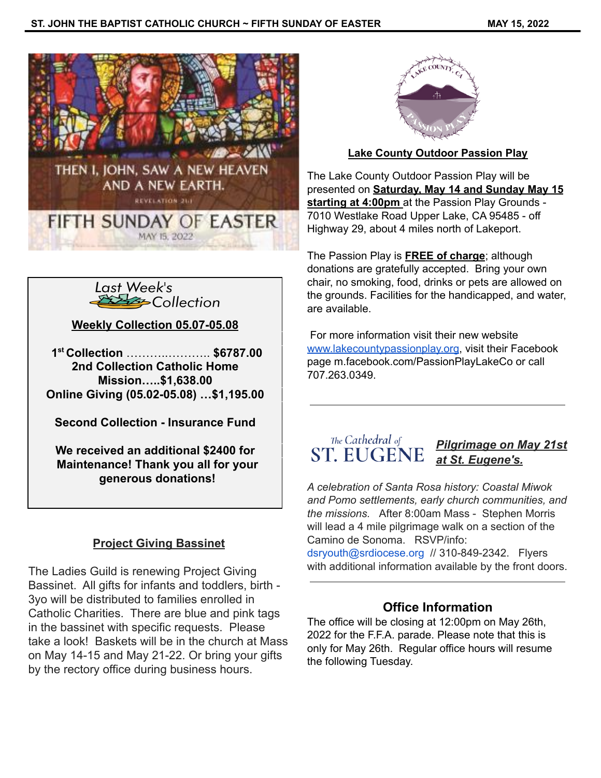



**Weekly Collection 05.07-05.08**

**1 st Collection** ………..……….. **\$6787.00 2nd Collection Catholic Home Mission…..\$1,638.00 Online Giving (05.02-05.08) …\$1,195.00**

**Second Collection - Insurance Fund**

**We received an additional \$2400 for Maintenance! Thank you all for your generous donations!**

# **Project Giving Bassinet**

The Ladies Guild is renewing Project Giving Bassinet. All gifts for infants and toddlers, birth - 3yo will be distributed to families enrolled in Catholic Charities. There are blue and pink tags in the bassinet with specific requests. Please take a look! Baskets will be in the church at Mass on May 14-15 and May 21-22. Or bring your gifts by the rectory office during business hours.



## **Lake County Outdoor Passion Play**

The Lake County Outdoor Passion Play will be presented on **Saturday, May 14 and Sunday May 15 starting at 4:00pm** at the Passion Play Grounds - 7010 Westlake Road Upper Lake, CA 95485 - off Highway 29, about 4 miles north of Lakeport.

The Passion Play is **FREE of charge**; although donations are gratefully accepted. Bring your own chair, no smoking, food, drinks or pets are allowed on the grounds. Facilities for the handicapped, and water, are available.

For more information visit their new website [www.lakecountypassionplay.org](http://www.lakecountypassionplay.org), visit their Facebook page m.facebook.com/PassionPlayLakeCo or call 707.263.0349.

#### The Cathedral of *Pilgrimage on May 21st* **ST. EUGENE** *at St. Eugene's.*

*A celebration of Santa Rosa history: Coastal Miwok and Pomo settlements, early church communities, and the missions.* After 8:00am Mass - Stephen Morris will lead a 4 mile pilgrimage walk on a section of the Camino de Sonoma. RSVP/info:

dsryouth@srdiocese.org // 310-849-2342. Flyers with additional information available by the front doors.

# **Office Information**

The office will be closing at 12:00pm on May 26th, 2022 for the F.F.A. parade. Please note that this is only for May 26th. Regular office hours will resume the following Tuesday.